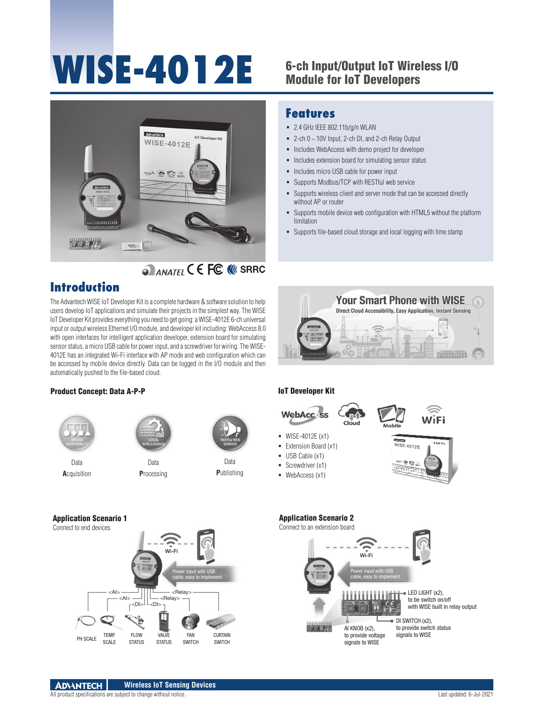# WISE-4012E 6-ch Input/Output IoT Wireless I/O

# Module for IoT Developers



# **SRAWATEL C E FC. NIC SRRC**

# **Introduction**

The Advantech WISE IoT Developer Kit is a complete hardware & software solution to help users develop IoT applications and simulate their projects in the simplest way. The WISE IoT Developer Kit provides everything you need to get going: a WISE-4012E 6-ch universal input or output wireless Ethernet I/O module, and developer kit including: WebAccess 8.0 with open interfaces for intelligent application developer, extension board for simulating sensor status, a micro USB cable for power input, and a screwdriver for wiring. The WISE-4012E has an integrated Wi-Fi interface with AP mode and web configuration which can be accessed by mobile device directly. Data can be logged in the I/O module and then automatically pushed to the file-based cloud.

#### **Features** 2.4 GHz IEEE 802.11b/g/n WLAN

- $= 2$ -ch  $0 \sim 10V$  Input, 2-ch DI, and 2-ch Relay Output
- **Includes WebAccess with demo project for developer**
- Includes extension board for simulating sensor status
- **-** Includes micro USB cable for power input
- Supports Modbus/TCP with RESTful web service
- Supports wireless client and server mode that can be accessed directly without AP or router
- Supports mobile device web configuration with HTML5 without the platform limitation
- Supports file-based cloud storage and local logging with time stamp



#### Product Concept: Data A-P-P





**A**cquisition

Data **P**rocessing

Data **P**ublishing

#### IoT Developer Kit





- Extension Board (x1)
- USB Cable (x1)
- Screwdriver (x1)
- **WebAccess (x1)**



### Application Scenario 1